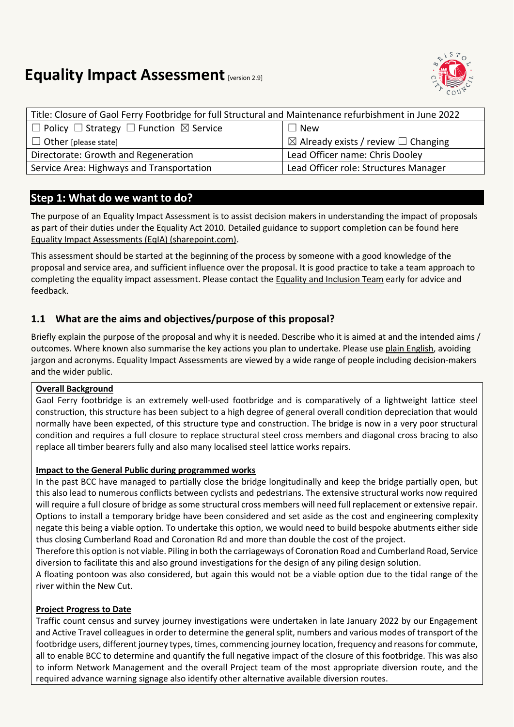# **Equality Impact Assessment [version 2.9]**



| Title: Closure of Gaol Ferry Footbridge for full Structural and Maintenance refurbishment in June 2022 |                                                     |  |
|--------------------------------------------------------------------------------------------------------|-----------------------------------------------------|--|
| $\Box$ Policy $\Box$ Strategy $\Box$ Function $\boxtimes$ Service                                      | $\Box$ New                                          |  |
| $\Box$ Other [please state]                                                                            | $\boxtimes$ Already exists / review $\Box$ Changing |  |
| Directorate: Growth and Regeneration                                                                   | Lead Officer name: Chris Dooley                     |  |
| Service Area: Highways and Transportation                                                              | Lead Officer role: Structures Manager               |  |

## **Step 1: What do we want to do?**

The purpose of an Equality Impact Assessment is to assist decision makers in understanding the impact of proposals as part of their duties under the Equality Act 2010. Detailed guidance to support completion can be found here [Equality Impact Assessments \(EqIA\) \(sharepoint.com\).](https://bristolcouncil.sharepoint.com/sites/Corporate/SitePages/equality-impact-assessments.aspx) 

This assessment should be started at the beginning of the process by someone with a good knowledge of the proposal and service area, and sufficient influence over the proposal. It is good practice to take a team approach to completing the equality impact assessment. Please contact the [Equality and Inclusion Team](mailto:equalities.team@bristol.gov.uk) early for advice and feedback.

## **1.1 What are the aims and objectives/purpose of this proposal?**

Briefly explain the purpose of the proposal and why it is needed. Describe who it is aimed at and the intended aims / outcomes. Where known also summarise the key actions you plan to undertake. Please us[e plain English,](http://www.plainenglish.co.uk/) avoiding jargon and acronyms. Equality Impact Assessments are viewed by a wide range of people including decision-makers and the wider public.

#### **Overall Background**

Gaol Ferry footbridge is an extremely well-used footbridge and is comparatively of a lightweight lattice steel construction, this structure has been subject to a high degree of general overall condition depreciation that would normally have been expected, of this structure type and construction. The bridge is now in a very poor structural condition and requires a full closure to replace structural steel cross members and diagonal cross bracing to also replace all timber bearers fully and also many localised steel lattice works repairs.

#### **Impact to the General Public during programmed works**

In the past BCC have managed to partially close the bridge longitudinally and keep the bridge partially open, but this also lead to numerous conflicts between cyclists and pedestrians. The extensive structural works now required will require a full closure of bridge as some structural cross members will need full replacement or extensive repair. Options to install a temporary bridge have been considered and set aside as the cost and engineering complexity negate this being a viable option. To undertake this option, we would need to build bespoke abutments either side thus closing Cumberland Road and Coronation Rd and more than double the cost of the project.

Therefore this option is not viable. Piling in both the carriageways of Coronation Road and Cumberland Road, Service diversion to facilitate this and also ground investigations for the design of any piling design solution.

A floating pontoon was also considered, but again this would not be a viable option due to the tidal range of the river within the New Cut.

#### **Project Progress to Date**

Traffic count census and survey journey investigations were undertaken in late January 2022 by our Engagement and Active Travel colleagues in order to determine the general split, numbers and various modes of transport of the footbridge users, different journey types, times, commencing journey location, frequency and reasons for commute, all to enable BCC to determine and quantify the full negative impact of the closure of this footbridge. This was also to inform Network Management and the overall Project team of the most appropriate diversion route, and the required advance warning signage also identify other alternative available diversion routes.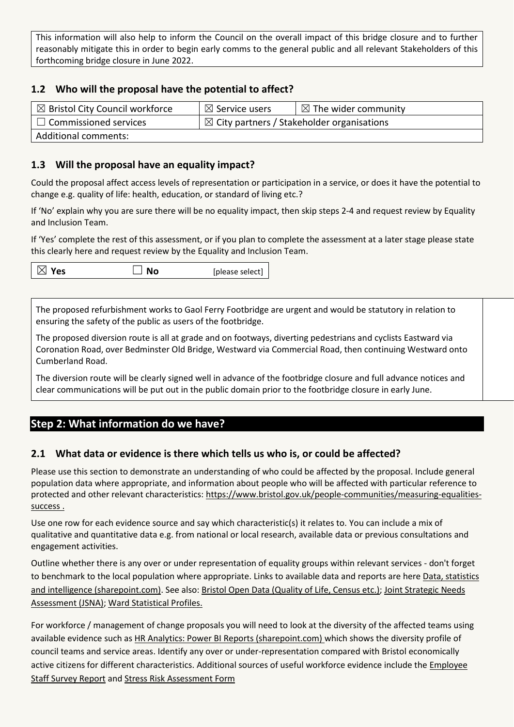This information will also help to inform the Council on the overall impact of this bridge closure and to further reasonably mitigate this in order to begin early comms to the general public and all relevant Stakeholders of this forthcoming bridge closure in June 2022.

## **1.2 Who will the proposal have the potential to affect?**

| $\boxtimes$ Bristol City Council workforce | $\boxtimes$ Service users                             | $\boxtimes$ The wider community |
|--------------------------------------------|-------------------------------------------------------|---------------------------------|
| $\Box$ Commissioned services               | $\boxtimes$ City partners / Stakeholder organisations |                                 |
| <b>Additional comments:</b>                |                                                       |                                 |

### **1.3 Will the proposal have an equality impact?**

Could the proposal affect access levels of representation or participation in a service, or does it have the potential to change e.g. quality of life: health, education, or standard of living etc.?

If 'No' explain why you are sure there will be no equality impact, then skip steps 2-4 and request review by Equality and Inclusion Team.

If 'Yes' complete the rest of this assessment, or if you plan to complete the assessment at a later stage please state this clearly here and request review by the [Equality and Inclusion Team.](mailto:equalities.team@bristol.gov.uk)

| $\boxtimes$ Yes<br>$\Box$ No | [please select] $\vert$ |
|------------------------------|-------------------------|
|------------------------------|-------------------------|

The proposed refurbishment works to Gaol Ferry Footbridge are urgent and would be statutory in relation to ensuring the safety of the public as users of the footbridge.

The proposed diversion route is all at grade and on footways, diverting pedestrians and cyclists Eastward via Coronation Road, over Bedminster Old Bridge, Westward via Commercial Road, then continuing Westward onto Cumberland Road.

The diversion route will be clearly signed well in advance of the footbridge closure and full advance notices and clear communications will be put out in the public domain prior to the footbridge closure in early June.

## **Step 2: What information do we have?**

#### **2.1 What data or evidence is there which tells us who is, or could be affected?**

Please use this section to demonstrate an understanding of who could be affected by the proposal. Include general population data where appropriate, and information about people who will be affected with particular reference to protected and other relevant characteristics: [https://www.bristol.gov.uk/people-communities/measuring-equalities](https://www.bristol.gov.uk/people-communities/measuring-equalities-success)[success](https://www.bristol.gov.uk/people-communities/measuring-equalities-success) .

Use one row for each evidence source and say which characteristic(s) it relates to. You can include a mix of qualitative and quantitative data e.g. from national or local research, available data or previous consultations and engagement activities.

Outline whether there is any over or under representation of equality groups within relevant services - don't forget to benchmark to the local population where appropriate. Links to available data and reports are here [Data, statistics](https://bristolcouncil.sharepoint.com/sites/Corporate/SitePages/data-statistics-and-intelligence.aspx)  [and intelligence \(sharepoint.com\).](https://bristolcouncil.sharepoint.com/sites/Corporate/SitePages/data-statistics-and-intelligence.aspx) See also: [Bristol Open Data \(Quality of Life, Census etc.\);](https://bristol.opendatasoft.com/explore/?sort=modified&q=equalities) [Joint Strategic Needs](https://www.bristol.gov.uk/policies-plans-strategies/joint-strategic-needs-assessment)  [Assessment](https://www.bristol.gov.uk/policies-plans-strategies/joint-strategic-needs-assessment) (JSNA); [Ward Statistical Profiles.](https://www.bristol.gov.uk/statistics-census-information/new-wards-data-profiles)

For workforce / management of change proposals you will need to look at the diversity of the affected teams using available evidence such as [HR Analytics: Power BI Reports \(sharepoint.com\)](https://eur03.safelinks.protection.outlook.com/?url=https%3A%2F%2Fbristolcouncil.sharepoint.com%2Fsites%2FHR%2FSitePages%2Fhr-reports.aspx&data=04%7C01%7C%7C90358974d66d41257ac108d8deebfdde%7C6378a7a50f214482aee0897eb7de331f%7C0%7C0%7C637504452456282778%7CUnknown%7CTWFpbGZsb3d8eyJWIjoiMC4wLjAwMDAiLCJQIjoiV2luMzIiLCJBTiI6Ik1haWwiLCJXVCI6Mn0%3D%7C1000&sdata=6kXYSnoOXQ1Yn%2Be9ZRGlZULZJYwfQ3jygxGLOPN%2BccU%3D&reserved=0) which shows the diversity profile of council teams and service areas. Identify any over or under-representation compared with Bristol economically active citizens for different characteristics. Additional sources of useful workforce evidence include the [Employee](https://bristolcouncil.sharepoint.com/sites/HR/SitePages/hr-reports.aspx)  [Staff Survey Report](https://bristolcouncil.sharepoint.com/sites/HR/SitePages/hr-reports.aspx) and [Stress Risk Assessment Form](https://bristolcouncil.sharepoint.com/:w:/r/sites/HealthSafetyandWellbeing/_layouts/15/Doc.aspx?sourcedoc=%7B813AE494-A25E-4C9C-A7F7-1F6A48883800%7D&file=Stress%20risk%20assessment%20form.doc&action=default&mobileredirect=true&DefaultItemOpen=1)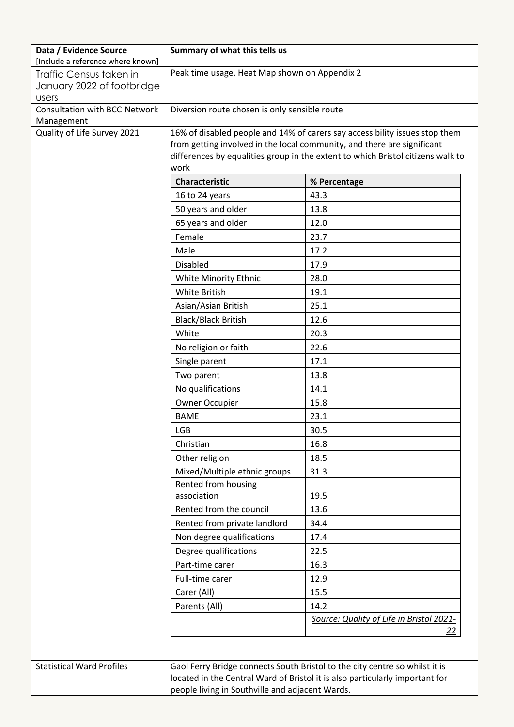| Data / Evidence Source<br>[Include a reference where known] | Summary of what this tells us                                                                                                                                                                                                             |                                                                              |
|-------------------------------------------------------------|-------------------------------------------------------------------------------------------------------------------------------------------------------------------------------------------------------------------------------------------|------------------------------------------------------------------------------|
| Traffic Census taken in                                     | Peak time usage, Heat Map shown on Appendix 2                                                                                                                                                                                             |                                                                              |
| January 2022 of footbridge                                  |                                                                                                                                                                                                                                           |                                                                              |
| <b>Users</b>                                                |                                                                                                                                                                                                                                           |                                                                              |
| Consultation with BCC Network<br>Management                 | Diversion route chosen is only sensible route                                                                                                                                                                                             |                                                                              |
| Quality of Life Survey 2021                                 | 16% of disabled people and 14% of carers say accessibility issues stop them<br>from getting involved in the local community, and there are significant<br>differences by equalities group in the extent to which Bristol citizens walk to |                                                                              |
|                                                             |                                                                                                                                                                                                                                           |                                                                              |
|                                                             |                                                                                                                                                                                                                                           |                                                                              |
|                                                             | work                                                                                                                                                                                                                                      |                                                                              |
|                                                             | <b>Characteristic</b>                                                                                                                                                                                                                     | % Percentage                                                                 |
|                                                             | 16 to 24 years                                                                                                                                                                                                                            | 43.3                                                                         |
|                                                             | 50 years and older                                                                                                                                                                                                                        | 13.8                                                                         |
|                                                             | 65 years and older                                                                                                                                                                                                                        | 12.0                                                                         |
|                                                             | Female                                                                                                                                                                                                                                    | 23.7                                                                         |
|                                                             | Male                                                                                                                                                                                                                                      | 17.2                                                                         |
|                                                             | <b>Disabled</b>                                                                                                                                                                                                                           | 17.9                                                                         |
|                                                             | White Minority Ethnic                                                                                                                                                                                                                     | 28.0                                                                         |
|                                                             | White British                                                                                                                                                                                                                             | 19.1                                                                         |
|                                                             | Asian/Asian British                                                                                                                                                                                                                       | 25.1                                                                         |
|                                                             | <b>Black/Black British</b>                                                                                                                                                                                                                | 12.6                                                                         |
|                                                             | White                                                                                                                                                                                                                                     | 20.3                                                                         |
|                                                             | No religion or faith                                                                                                                                                                                                                      | 22.6                                                                         |
|                                                             | Single parent                                                                                                                                                                                                                             | 17.1                                                                         |
|                                                             | Two parent                                                                                                                                                                                                                                | 13.8                                                                         |
|                                                             | No qualifications                                                                                                                                                                                                                         | 14.1                                                                         |
|                                                             | Owner Occupier                                                                                                                                                                                                                            | 15.8                                                                         |
|                                                             | <b>BAME</b>                                                                                                                                                                                                                               | 23.1                                                                         |
|                                                             | <b>LGB</b>                                                                                                                                                                                                                                | 30.5                                                                         |
|                                                             | Christian                                                                                                                                                                                                                                 | 16.8                                                                         |
|                                                             | Other religion                                                                                                                                                                                                                            | 18.5                                                                         |
|                                                             | Mixed/Multiple ethnic groups                                                                                                                                                                                                              | 31.3                                                                         |
|                                                             | Rented from housing                                                                                                                                                                                                                       |                                                                              |
|                                                             | association                                                                                                                                                                                                                               | 19.5                                                                         |
|                                                             | Rented from the council                                                                                                                                                                                                                   | 13.6                                                                         |
|                                                             | Rented from private landlord                                                                                                                                                                                                              | 34.4                                                                         |
|                                                             | Non degree qualifications                                                                                                                                                                                                                 | 17.4                                                                         |
|                                                             | Degree qualifications                                                                                                                                                                                                                     | 22.5                                                                         |
|                                                             | Part-time carer                                                                                                                                                                                                                           | 16.3                                                                         |
|                                                             | Full-time carer                                                                                                                                                                                                                           | 12.9                                                                         |
|                                                             | Carer (All)                                                                                                                                                                                                                               | 15.5                                                                         |
|                                                             | Parents (All)                                                                                                                                                                                                                             | 14.2                                                                         |
|                                                             |                                                                                                                                                                                                                                           | Source: Quality of Life in Bristol 2021-                                     |
|                                                             |                                                                                                                                                                                                                                           | 22                                                                           |
|                                                             |                                                                                                                                                                                                                                           |                                                                              |
| <b>Statistical Ward Profiles</b>                            |                                                                                                                                                                                                                                           | Gaol Ferry Bridge connects South Bristol to the city centre so whilst it is  |
|                                                             |                                                                                                                                                                                                                                           | located in the Central Ward of Bristol it is also particularly important for |
|                                                             | people living in Southville and adjacent Wards.                                                                                                                                                                                           |                                                                              |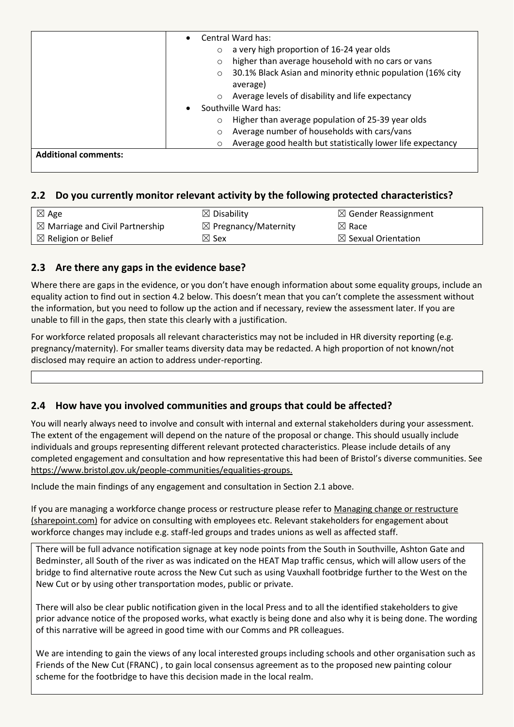|                             | Central Ward has:                                                                 |  |
|-----------------------------|-----------------------------------------------------------------------------------|--|
|                             | a very high proportion of 16-24 year olds<br>$\circ$                              |  |
|                             | higher than average household with no cars or vans<br>O                           |  |
|                             | 30.1% Black Asian and minority ethnic population (16% city<br>$\circ$<br>average) |  |
|                             | Average levels of disability and life expectancy<br>$\circ$                       |  |
|                             | Southville Ward has:                                                              |  |
|                             | Higher than average population of 25-39 year olds<br>$\circ$                      |  |
|                             | Average number of households with cars/vans<br>$\circ$                            |  |
|                             | Average good health but statistically lower life expectancy<br>$\circ$            |  |
| <b>Additional comments:</b> |                                                                                   |  |

## **2.2 Do you currently monitor relevant activity by the following protected characteristics?**

| $\boxtimes$ Age                            | $\boxtimes$ Disability          | $\boxtimes$ Gender Reassignment |
|--------------------------------------------|---------------------------------|---------------------------------|
| $\boxtimes$ Marriage and Civil Partnership | $\boxtimes$ Pregnancy/Maternity | $\boxtimes$ Race                |
| $\boxtimes$ Religion or Belief             | $\boxtimes$ Sex                 | $\boxtimes$ Sexual Orientation  |

## **2.3 Are there any gaps in the evidence base?**

Where there are gaps in the evidence, or you don't have enough information about some equality groups, include an equality action to find out in section 4.2 below. This doesn't mean that you can't complete the assessment without the information, but you need to follow up the action and if necessary, review the assessment later. If you are unable to fill in the gaps, then state this clearly with a justification.

For workforce related proposals all relevant characteristics may not be included in HR diversity reporting (e.g. pregnancy/maternity). For smaller teams diversity data may be redacted. A high proportion of not known/not disclosed may require an action to address under-reporting.

#### **2.4 How have you involved communities and groups that could be affected?**

You will nearly always need to involve and consult with internal and external stakeholders during your assessment. The extent of the engagement will depend on the nature of the proposal or change. This should usually include individuals and groups representing different relevant protected characteristics. Please include details of any completed engagement and consultation and how representative this had been of Bristol's diverse communities. See [https://www.bristol.gov.uk/people-communities/equalities-groups.](https://www.bristol.gov.uk/people-communities/equalities-groups)

Include the main findings of any engagement and consultation in Section 2.1 above.

If you are managing a workforce change process or restructure please refer to [Managing change or restructure](https://bristolcouncil.sharepoint.com/sites/HR/SitePages/managing-change-or-restructure.aspx)  [\(sharepoint.com\)](https://bristolcouncil.sharepoint.com/sites/HR/SitePages/managing-change-or-restructure.aspx) for advice on consulting with employees etc. Relevant stakeholders for engagement about workforce changes may include e.g. staff-led groups and trades unions as well as affected staff.

There will be full advance notification signage at key node points from the South in Southville, Ashton Gate and Bedminster, all South of the river as was indicated on the HEAT Map traffic census, which will allow users of the bridge to find alternative route across the New Cut such as using Vauxhall footbridge further to the West on the New Cut or by using other transportation modes, public or private.

There will also be clear public notification given in the local Press and to all the identified stakeholders to give prior advance notice of the proposed works, what exactly is being done and also why it is being done. The wording of this narrative will be agreed in good time with our Comms and PR colleagues.

We are intending to gain the views of any local interested groups including schools and other organisation such as Friends of the New Cut (FRANC) , to gain local consensus agreement as to the proposed new painting colour scheme for the footbridge to have this decision made in the local realm.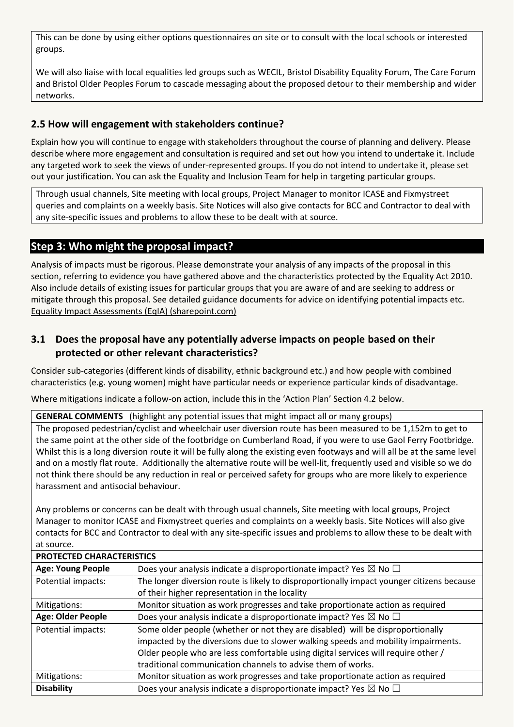This can be done by using either options questionnaires on site or to consult with the local schools or interested groups.

We will also liaise with local equalities led groups such as WECIL, Bristol Disability Equality Forum, The Care Forum and Bristol Older Peoples Forum to cascade messaging about the proposed detour to their membership and wider networks.

## **2.5 How will engagement with stakeholders continue?**

Explain how you will continue to engage with stakeholders throughout the course of planning and delivery. Please describe where more engagement and consultation is required and set out how you intend to undertake it. Include any targeted work to seek the views of under-represented groups. If you do not intend to undertake it, please set out your justification. You can ask the Equality and Inclusion Team for help in targeting particular groups.

Through usual channels, Site meeting with local groups, Project Manager to monitor ICASE and Fixmystreet queries and complaints on a weekly basis. Site Notices will also give contacts for BCC and Contractor to deal with any site-specific issues and problems to allow these to be dealt with at source.

## **Step 3: Who might the proposal impact?**

Analysis of impacts must be rigorous. Please demonstrate your analysis of any impacts of the proposal in this section, referring to evidence you have gathered above and the characteristics protected by the Equality Act 2010. Also include details of existing issues for particular groups that you are aware of and are seeking to address or mitigate through this proposal. See detailed guidance documents for advice on identifying potential impacts etc. [Equality Impact Assessments \(EqIA\) \(sharepoint.com\)](https://bristolcouncil.sharepoint.com/sites/Corporate/SitePages/equality-impact-assessments.aspx)

## **3.1 Does the proposal have any potentially adverse impacts on people based on their protected or other relevant characteristics?**

Consider sub-categories (different kinds of disability, ethnic background etc.) and how people with combined characteristics (e.g. young women) might have particular needs or experience particular kinds of disadvantage.

Where mitigations indicate a follow-on action, include this in the 'Action Plan' Section 4.2 below.

**GENERAL COMMENTS** (highlight any potential issues that might impact all or many groups)

The proposed pedestrian/cyclist and wheelchair user diversion route has been measured to be 1,152m to get to the same point at the other side of the footbridge on Cumberland Road, if you were to use Gaol Ferry Footbridge. Whilst this is a long diversion route it will be fully along the existing even footways and will all be at the same level and on a mostly flat route. Additionally the alternative route will be well-lit, frequently used and visible so we do not think there should be any reduction in real or perceived safety for groups who are more likely to experience harassment and antisocial behaviour.

Any problems or concerns can be dealt with through usual channels, Site meeting with local groups, Project Manager to monitor ICASE and Fixmystreet queries and complaints on a weekly basis. Site Notices will also give contacts for BCC and Contractor to deal with any site-specific issues and problems to allow these to be dealt with at source.

| PROTECTED CHARACTERISTICS |                                                                                           |
|---------------------------|-------------------------------------------------------------------------------------------|
| <b>Age: Young People</b>  | Does your analysis indicate a disproportionate impact? Yes $\boxtimes$ No $\Box$          |
| Potential impacts:        | The longer diversion route is likely to disproportionally impact younger citizens because |
|                           | of their higher representation in the locality                                            |
| Mitigations:              | Monitor situation as work progresses and take proportionate action as required            |
| Age: Older People         | Does your analysis indicate a disproportionate impact? Yes $\boxtimes$ No $\Box$          |
| Potential impacts:        | Some older people (whether or not they are disabled) will be disproportionally            |
|                           | impacted by the diversions due to slower walking speeds and mobility impairments.         |
|                           | Older people who are less comfortable using digital services will require other /         |
|                           | traditional communication channels to advise them of works.                               |
| Mitigations:              | Monitor situation as work progresses and take proportionate action as required            |
| <b>Disability</b>         | Does your analysis indicate a disproportionate impact? Yes $\boxtimes$ No $\Box$          |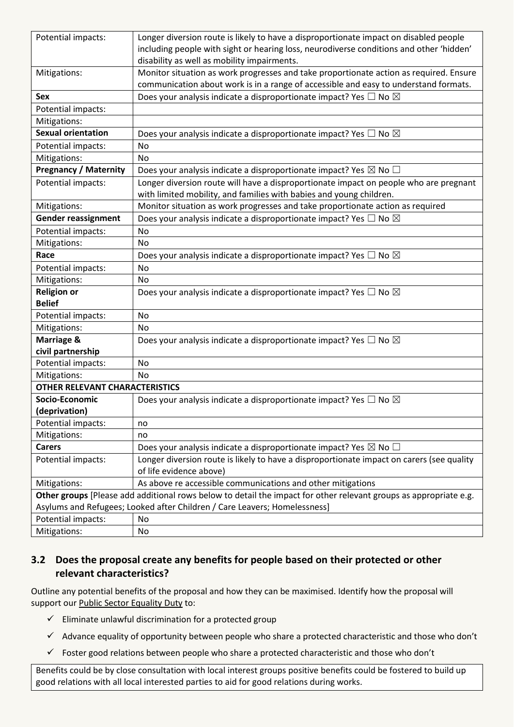| Potential impacts:                                                                                                | Longer diversion route is likely to have a disproportionate impact on disabled people     |
|-------------------------------------------------------------------------------------------------------------------|-------------------------------------------------------------------------------------------|
|                                                                                                                   | including people with sight or hearing loss, neurodiverse conditions and other 'hidden'   |
|                                                                                                                   | disability as well as mobility impairments.                                               |
| Mitigations:                                                                                                      | Monitor situation as work progresses and take proportionate action as required. Ensure    |
|                                                                                                                   | communication about work is in a range of accessible and easy to understand formats.      |
| <b>Sex</b>                                                                                                        | Does your analysis indicate a disproportionate impact? Yes $\Box$ No $\boxtimes$          |
| Potential impacts:                                                                                                |                                                                                           |
| Mitigations:                                                                                                      |                                                                                           |
| <b>Sexual orientation</b>                                                                                         | Does your analysis indicate a disproportionate impact? Yes $\Box$ No $\boxtimes$          |
| Potential impacts:                                                                                                | No                                                                                        |
| Mitigations:                                                                                                      | No                                                                                        |
| <b>Pregnancy / Maternity</b>                                                                                      | Does your analysis indicate a disproportionate impact? Yes $\boxtimes$ No $\Box$          |
| Potential impacts:                                                                                                | Longer diversion route will have a disproportionate impact on people who are pregnant     |
|                                                                                                                   | with limited mobility, and families with babies and young children.                       |
| Mitigations:                                                                                                      | Monitor situation as work progresses and take proportionate action as required            |
| <b>Gender reassignment</b>                                                                                        | Does your analysis indicate a disproportionate impact? Yes $\Box$ No $\boxtimes$          |
| Potential impacts:                                                                                                | No                                                                                        |
| Mitigations:                                                                                                      | No                                                                                        |
| Race                                                                                                              | Does your analysis indicate a disproportionate impact? Yes $\Box$ No $\boxtimes$          |
| Potential impacts:                                                                                                | No                                                                                        |
| Mitigations:                                                                                                      | No                                                                                        |
| <b>Religion or</b>                                                                                                | Does your analysis indicate a disproportionate impact? Yes $\Box$ No $\boxtimes$          |
| <b>Belief</b>                                                                                                     |                                                                                           |
| Potential impacts:                                                                                                | No                                                                                        |
| Mitigations:                                                                                                      | No                                                                                        |
| Marriage &                                                                                                        | Does your analysis indicate a disproportionate impact? Yes $\Box$ No $\boxtimes$          |
| civil partnership                                                                                                 |                                                                                           |
| Potential impacts:                                                                                                | No                                                                                        |
| Mitigations:                                                                                                      | No                                                                                        |
| <b>OTHER RELEVANT CHARACTERISTICS</b>                                                                             |                                                                                           |
| Socio-Economic                                                                                                    | Does your analysis indicate a disproportionate impact? Yes $\Box$ No $\boxtimes$          |
| (deprivation)                                                                                                     |                                                                                           |
| Potential impacts:                                                                                                | no                                                                                        |
| Mitigations:                                                                                                      | no                                                                                        |
| <b>Carers</b>                                                                                                     | Does your analysis indicate a disproportionate impact? Yes $\boxtimes$ No $\Box$          |
| Potential impacts:                                                                                                | Longer diversion route is likely to have a disproportionate impact on carers (see quality |
|                                                                                                                   | of life evidence above)                                                                   |
| Mitigations:                                                                                                      | As above re accessible communications and other mitigations                               |
| Other groups [Please add additional rows below to detail the impact for other relevant groups as appropriate e.g. |                                                                                           |
|                                                                                                                   | Asylums and Refugees; Looked after Children / Care Leavers; Homelessness]                 |
| Potential impacts:                                                                                                | No                                                                                        |
| Mitigations:                                                                                                      | No                                                                                        |

# **3.2 Does the proposal create any benefits for people based on their protected or other relevant characteristics?**

Outline any potential benefits of the proposal and how they can be maximised. Identify how the proposal will support our [Public Sector Equality Duty](https://www.equalityhumanrights.com/en/advice-and-guidance/public-sector-equality-duty) to:

- $\checkmark$  Eliminate unlawful discrimination for a protected group
- $\checkmark$  Advance equality of opportunity between people who share a protected characteristic and those who don't
- $\checkmark$  Foster good relations between people who share a protected characteristic and those who don't

Benefits could be by close consultation with local interest groups positive benefits could be fostered to build up good relations with all local interested parties to aid for good relations during works.